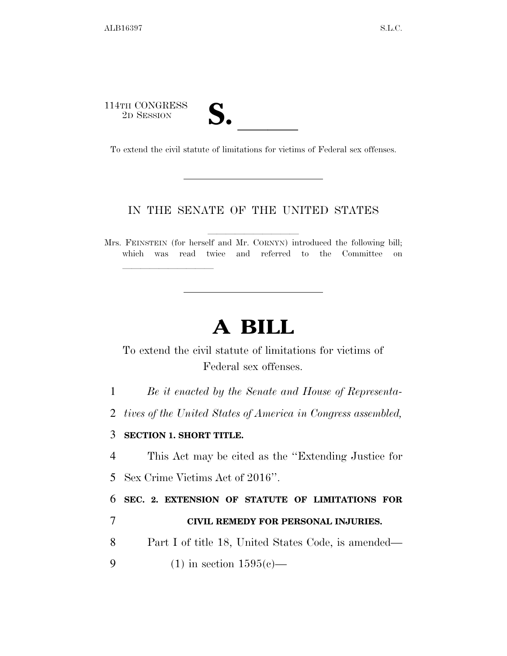114TH CONGRESS<br>2D SESSION 14TH CONGRESS<br>
2D SESSION<br>
To extend the civil statute of limitations for victims of Federal sex offenses.

lla se a lla se a lla se a lla se a lla se a lla se a lla se a lla se a lla se a lla se a lla se a lla se a l

## IN THE SENATE OF THE UNITED STATES

Mrs. FEINSTEIN (for herself and Mr. CORNYN) introduced the following bill; which was read twice and referred to the Committee on

## **A BILL**

To extend the civil statute of limitations for victims of Federal sex offenses.

1 *Be it enacted by the Senate and House of Representa-*

2 *tives of the United States of America in Congress assembled,* 

## 3 **SECTION 1. SHORT TITLE.**

4 This Act may be cited as the ''Extending Justice for

5 Sex Crime Victims Act of 2016''.

6 **SEC. 2. EXTENSION OF STATUTE OF LIMITATIONS FOR**  7 **CIVIL REMEDY FOR PERSONAL INJURIES.** 

- 8 Part I of title 18, United States Code, is amended—
- 9 (1) in section  $1595(c)$ —